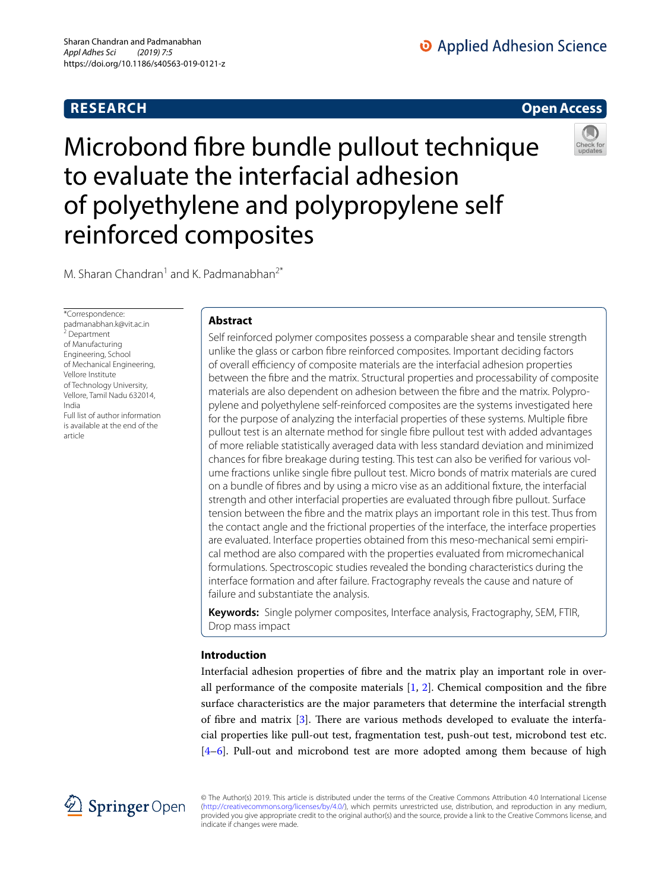# **RESEARCH**

# **Open Access**

# Microbond fibre bundle pullout technique to evaluate the interfacial adhesion of polyethylene and polypropylene self reinforced composites



M. Sharan Chandran<sup>1</sup> and K. Padmanabhan<sup>2\*</sup>

\*Correspondence: padmanabhan.k@vit.ac.in 2 Department of Manufacturing Engineering, School of Mechanical Engineering, Vellore Institute of Technology University, Vellore, Tamil Nadu 632014, India Full list of author information is available at the end of the article

# **Abstract**

Self reinforced polymer composites possess a comparable shear and tensile strength unlike the glass or carbon fibre reinforced composites. Important deciding factors of overall efficiency of composite materials are the interfacial adhesion properties between the fibre and the matrix. Structural properties and processability of composite materials are also dependent on adhesion between the fibre and the matrix. Polypropylene and polyethylene self-reinforced composites are the systems investigated here for the purpose of analyzing the interfacial properties of these systems. Multiple fibre pullout test is an alternate method for single fibre pullout test with added advantages of more reliable statistically averaged data with less standard deviation and minimized chances for fibre breakage during testing. This test can also be verified for various volume fractions unlike single fibre pullout test. Micro bonds of matrix materials are cured on a bundle of fibres and by using a micro vise as an additional fixture, the interfacial strength and other interfacial properties are evaluated through fibre pullout. Surface tension between the fibre and the matrix plays an important role in this test. Thus from the contact angle and the frictional properties of the interface, the interface properties are evaluated. Interface properties obtained from this meso-mechanical semi empirical method are also compared with the properties evaluated from micromechanical formulations. Spectroscopic studies revealed the bonding characteristics during the interface formation and after failure. Fractography reveals the cause and nature of failure and substantiate the analysis.

**Keywords:** Single polymer composites, Interface analysis, Fractography, SEM, FTIR, Drop mass impact

# **Introduction**

Interfacial adhesion properties of fibre and the matrix play an important role in overall performance of the composite materials  $[1, 2]$  $[1, 2]$  $[1, 2]$ . Chemical composition and the fibre surface characteristics are the major parameters that determine the interfacial strength of fibre and matrix [[3\]](#page-21-1). There are various methods developed to evaluate the interfacial properties like pull-out test, fragmentation test, push-out test, microbond test etc. [[4–](#page-21-2)[6\]](#page-21-3). Pull-out and microbond test are more adopted among them because of high



© The Author(s) 2019. This article is distributed under the terms of the Creative Commons Attribution 4.0 International License (http://creativecommons.org/licenses/by/4.0/), which permits unrestricted use, distribution, and reproduction in any medium, provided you give appropriate credit to the original author(s) and the source, provide a link to the Creative Commons license, and indicate if changes were made.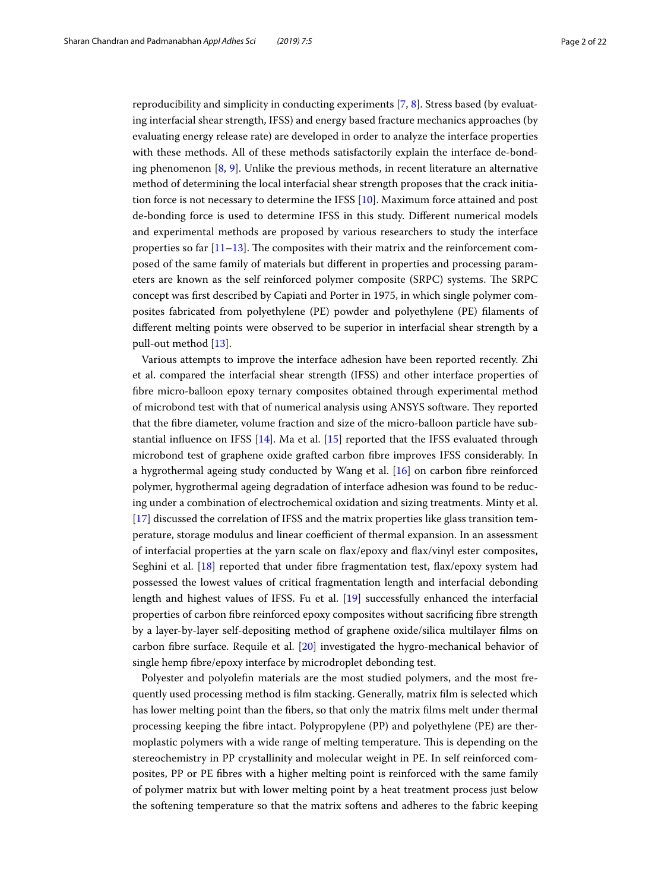reproducibility and simplicity in conducting experiments [\[7](#page-21-4), [8\]](#page-21-5). Stress based (by evaluating interfacial shear strength, IFSS) and energy based fracture mechanics approaches (by evaluating energy release rate) are developed in order to analyze the interface properties with these methods. All of these methods satisfactorily explain the interface de-bonding phenomenon  $[8, 9]$  $[8, 9]$  $[8, 9]$  $[8, 9]$ . Unlike the previous methods, in recent literature an alternative method of determining the local interfacial shear strength proposes that the crack initiation force is not necessary to determine the IFSS [[10\]](#page-21-7). Maximum force attained and post de-bonding force is used to determine IFSS in this study. Different numerical models and experimental methods are proposed by various researchers to study the interface properties so far  $[11-13]$  $[11-13]$ . The composites with their matrix and the reinforcement composed of the same family of materials but different in properties and processing parameters are known as the self reinforced polymer composite (SRPC) systems. The SRPC concept was first described by Capiati and Porter in 1975, in which single polymer composites fabricated from polyethylene (PE) powder and polyethylene (PE) filaments of different melting points were observed to be superior in interfacial shear strength by a pull-out method [\[13](#page-21-9)].

Various attempts to improve the interface adhesion have been reported recently. Zhi et al. compared the interfacial shear strength (IFSS) and other interface properties of fibre micro-balloon epoxy ternary composites obtained through experimental method of microbond test with that of numerical analysis using ANSYS software. They reported that the fibre diameter, volume fraction and size of the micro-balloon particle have substantial influence on IFSS  $[14]$  $[14]$  $[14]$ . Ma et al.  $[15]$  $[15]$  reported that the IFSS evaluated through microbond test of graphene oxide grafted carbon fibre improves IFSS considerably. In a hygrothermal ageing study conducted by Wang et al. [[16\]](#page-21-12) on carbon fibre reinforced polymer, hygrothermal ageing degradation of interface adhesion was found to be reducing under a combination of electrochemical oxidation and sizing treatments. Minty et al. [[17\]](#page-21-13) discussed the correlation of IFSS and the matrix properties like glass transition temperature, storage modulus and linear coefficient of thermal expansion. In an assessment of interfacial properties at the yarn scale on flax/epoxy and flax/vinyl ester composites, Seghini et al. [\[18](#page-21-14)] reported that under fibre fragmentation test, flax/epoxy system had possessed the lowest values of critical fragmentation length and interfacial debonding length and highest values of IFSS. Fu et al. [[19\]](#page-21-15) successfully enhanced the interfacial properties of carbon fibre reinforced epoxy composites without sacrificing fibre strength by a layer-by-layer self-depositing method of graphene oxide/silica multilayer films on carbon fibre surface. Requile et al. [\[20\]](#page-21-16) investigated the hygro-mechanical behavior of single hemp fibre/epoxy interface by microdroplet debonding test.

Polyester and polyolefin materials are the most studied polymers, and the most frequently used processing method is film stacking. Generally, matrix film is selected which has lower melting point than the fibers, so that only the matrix films melt under thermal processing keeping the fibre intact. Polypropylene (PP) and polyethylene (PE) are thermoplastic polymers with a wide range of melting temperature. This is depending on the stereochemistry in PP crystallinity and molecular weight in PE. In self reinforced composites, PP or PE fibres with a higher melting point is reinforced with the same family of polymer matrix but with lower melting point by a heat treatment process just below the softening temperature so that the matrix softens and adheres to the fabric keeping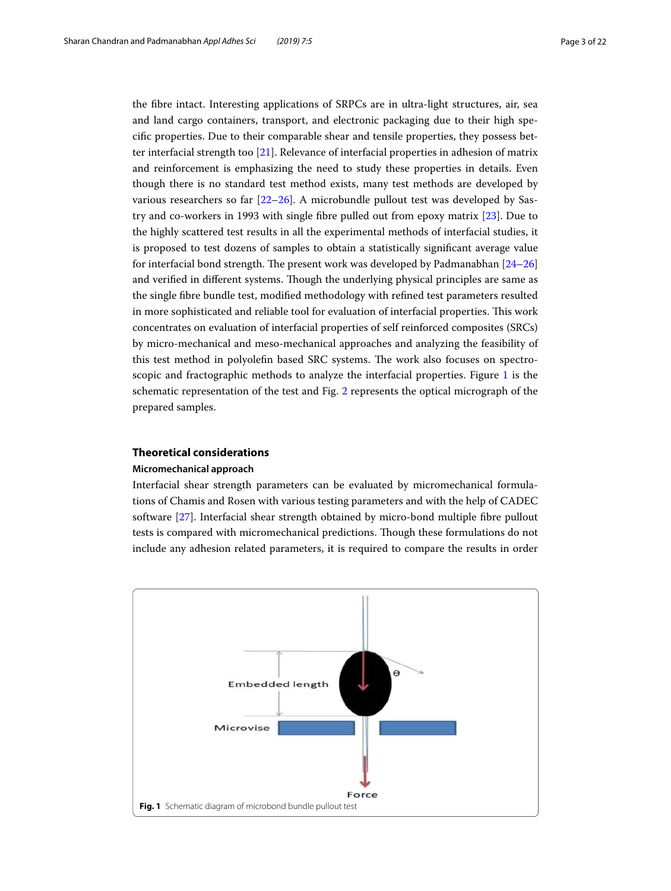the fibre intact. Interesting applications of SRPCs are in ultra-light structures, air, sea and land cargo containers, transport, and electronic packaging due to their high specific properties. Due to their comparable shear and tensile properties, they possess better interfacial strength too [[21\]](#page-21-17). Relevance of interfacial properties in adhesion of matrix and reinforcement is emphasizing the need to study these properties in details. Even though there is no standard test method exists, many test methods are developed by various researchers so far [\[22](#page-21-18)[–26\]](#page-21-19). A microbundle pullout test was developed by Sastry and co-workers in 1993 with single fibre pulled out from epoxy matrix [\[23\]](#page-21-20). Due to the highly scattered test results in all the experimental methods of interfacial studies, it is proposed to test dozens of samples to obtain a statistically significant average value for interfacial bond strength. The present work was developed by Padmanabhan [[24–](#page-21-21)[26](#page-21-19)] and verified in different systems. Though the underlying physical principles are same as the single fibre bundle test, modified methodology with refined test parameters resulted in more sophisticated and reliable tool for evaluation of interfacial properties. This work concentrates on evaluation of interfacial properties of self reinforced composites (SRCs) by micro-mechanical and meso-mechanical approaches and analyzing the feasibility of this test method in polyolefin based SRC systems. The work also focuses on spectroscopic and fractographic methods to analyze the interfacial properties. Figure [1](#page-2-0) is the schematic representation of the test and Fig. [2](#page-3-0) represents the optical micrograph of the prepared samples.

## **Theoretical considerations**

## **Micromechanical approach**

Interfacial shear strength parameters can be evaluated by micromechanical formulations of Chamis and Rosen with various testing parameters and with the help of CADEC software [[27\]](#page-21-22). Interfacial shear strength obtained by micro-bond multiple fibre pullout tests is compared with micromechanical predictions. Though these formulations do not include any adhesion related parameters, it is required to compare the results in order

<span id="page-2-0"></span>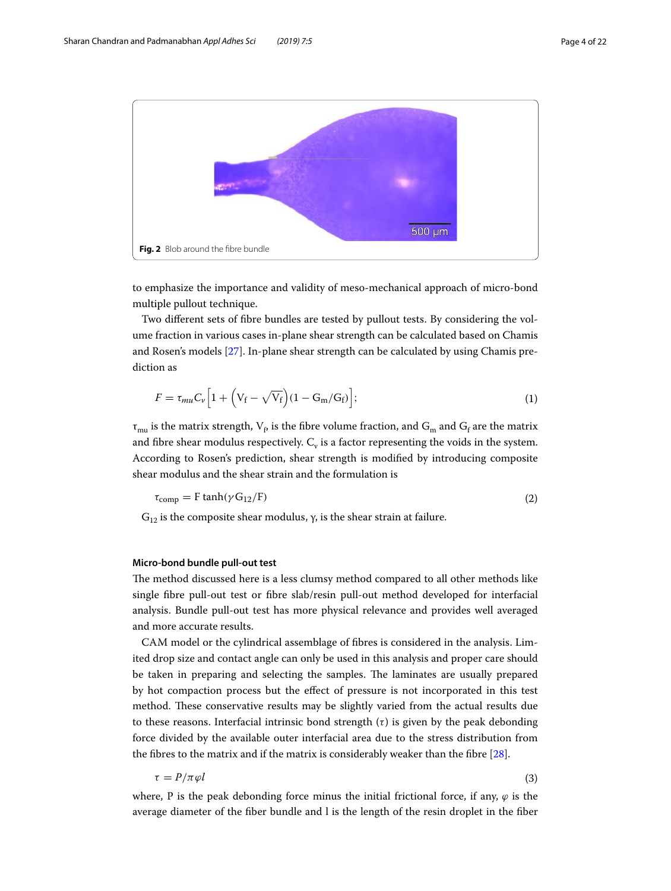

<span id="page-3-0"></span>to emphasize the importance and validity of meso-mechanical approach of micro-bond multiple pullout technique.

Two different sets of fibre bundles are tested by pullout tests. By considering the volume fraction in various cases in-plane shear strength can be calculated based on Chamis and Rosen's models [[27](#page-21-22)]. In-plane shear strength can be calculated by using Chamis prediction as

$$
F = \tau_{mu} C_{\nu} \left[ 1 + \left( V_{\rm f} - \sqrt{V_{\rm f}} \right) (1 - G_{\rm m}/G_{\rm f}) \right];\tag{1}
$$

 $\tau_{\text{mu}}$  is the matrix strength,  $V_{\text{f}}$  is the fibre volume fraction, and  $G_{\text{m}}$  and  $G_{\text{f}}$  are the matrix and fibre shear modulus respectively.  $\mathrm C_{\mathrm v}$  is a factor representing the voids in the system. According to Rosen's prediction, shear strength is modified by introducing composite shear modulus and the shear strain and the formulation is

$$
\tau_{\text{comp}} = F \tanh(\gamma G_{12}/F) \tag{2}
$$

 $G<sub>12</sub>$  is the composite shear modulus, γ, is the shear strain at failure.

#### **Micro‑bond bundle pull‑out test**

The method discussed here is a less clumsy method compared to all other methods like single fibre pull-out test or fibre slab/resin pull-out method developed for interfacial analysis. Bundle pull-out test has more physical relevance and provides well averaged and more accurate results.

CAM model or the cylindrical assemblage of fibres is considered in the analysis. Limited drop size and contact angle can only be used in this analysis and proper care should be taken in preparing and selecting the samples. The laminates are usually prepared by hot compaction process but the effect of pressure is not incorporated in this test method. These conservative results may be slightly varied from the actual results due to these reasons. Interfacial intrinsic bond strength  $(\tau)$  is given by the peak debonding force divided by the available outer interfacial area due to the stress distribution from the fibres to the matrix and if the matrix is considerably weaker than the fibre [[28\]](#page-21-23).

$$
\tau = P/\pi \varphi l \tag{3}
$$

where, P is the peak debonding force minus the initial frictional force, if any,  $\varphi$  is the average diameter of the fiber bundle and l is the length of the resin droplet in the fiber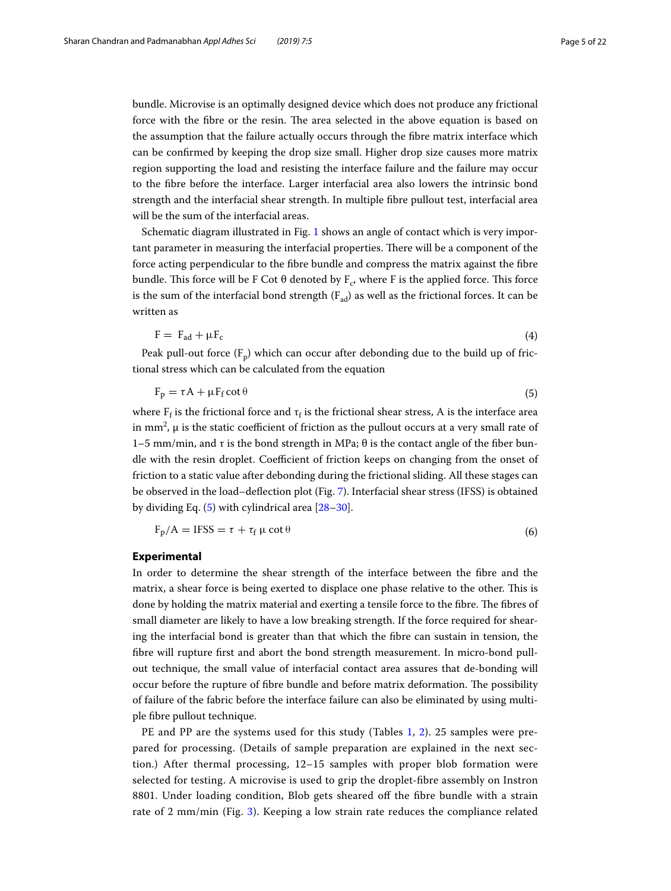bundle. Microvise is an optimally designed device which does not produce any frictional force with the fibre or the resin. The area selected in the above equation is based on the assumption that the failure actually occurs through the fibre matrix interface which can be confirmed by keeping the drop size small. Higher drop size causes more matrix region supporting the load and resisting the interface failure and the failure may occur to the fibre before the interface. Larger interfacial area also lowers the intrinsic bond strength and the interfacial shear strength. In multiple fibre pullout test, interfacial area will be the sum of the interfacial areas.

Schematic diagram illustrated in Fig. [1](#page-2-0) shows an angle of contact which is very important parameter in measuring the interfacial properties. There will be a component of the force acting perpendicular to the fibre bundle and compress the matrix against the fibre bundle. This force will be F Cot θ denoted by  $\rm F_c$ , where F is the applied force. This force is the sum of the interfacial bond strength  $(F_{ad})$  as well as the frictional forces. It can be written as

$$
F = F_{ad} + \mu F_c \tag{4}
$$

Peak pull-out force  $(F_p)$  which can occur after debonding due to the build up of frictional stress which can be calculated from the equation

<span id="page-4-0"></span>
$$
F_p = \tau A + \mu F_f \cot \theta \tag{5}
$$

where  $F_f$  is the frictional force and  $\tau_f$  is the frictional shear stress, A is the interface area in mm<sup>2</sup>,  $\mu$  is the static coefficient of friction as the pullout occurs at a very small rate of 1–5 mm/min, and τ is the bond strength in MPa; θ is the contact angle of the fiber bundle with the resin droplet. Coefficient of friction keeps on changing from the onset of friction to a static value after debonding during the frictional sliding. All these stages can be observed in the load–deflection plot (Fig. [7\)](#page-8-0). Interfacial shear stress (IFSS) is obtained by dividing Eq. ([5\)](#page-4-0) with cylindrical area [[28](#page-21-23)[–30](#page-21-24)].

$$
F_p/A = IFSS = \tau + \tau_f \mu \cot \theta \tag{6}
$$

#### **Experimental**

In order to determine the shear strength of the interface between the fibre and the matrix, a shear force is being exerted to displace one phase relative to the other. This is done by holding the matrix material and exerting a tensile force to the fibre. The fibres of small diameter are likely to have a low breaking strength. If the force required for shearing the interfacial bond is greater than that which the fibre can sustain in tension, the fibre will rupture first and abort the bond strength measurement. In micro-bond pullout technique, the small value of interfacial contact area assures that de-bonding will occur before the rupture of fibre bundle and before matrix deformation. The possibility of failure of the fabric before the interface failure can also be eliminated by using multiple fibre pullout technique.

PE and PP are the systems used for this study (Tables [1](#page-5-0), [2](#page-5-1)). 25 samples were prepared for processing. (Details of sample preparation are explained in the next section.) After thermal processing, 12–15 samples with proper blob formation were selected for testing. A microvise is used to grip the droplet-fibre assembly on Instron 8801. Under loading condition, Blob gets sheared off the fibre bundle with a strain rate of 2 mm/min (Fig. [3\)](#page-5-2). Keeping a low strain rate reduces the compliance related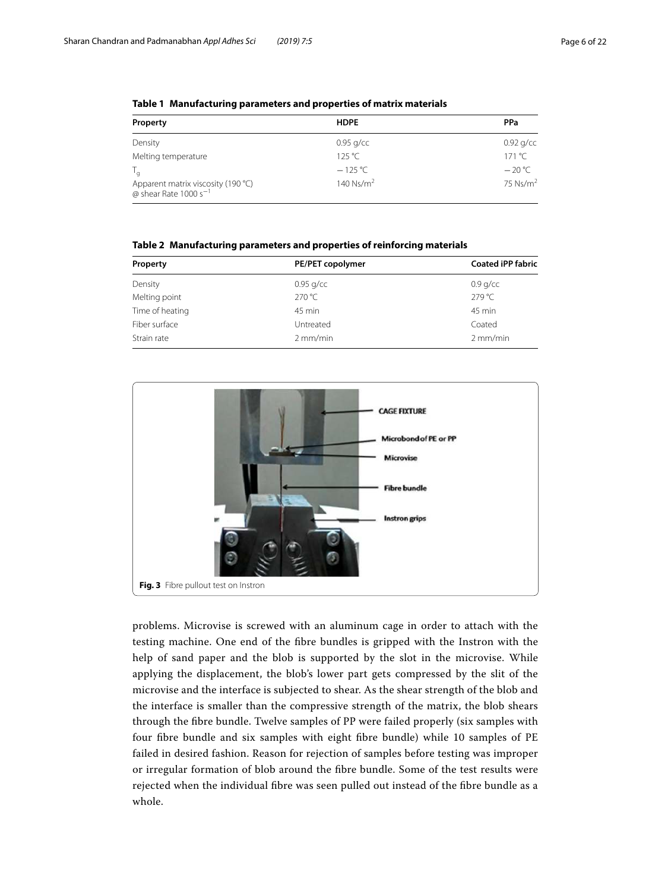| Property                                                                | <b>HDPE</b>   | PPa             |  |
|-------------------------------------------------------------------------|---------------|-----------------|--|
| Density                                                                 | $0.95$ g/cc   | $0.92$ g/cc     |  |
| Melting temperature                                                     | 125 °C        | 171 °C          |  |
| $\mathsf{I}_{\mathsf{a}}$                                               | $-125 °C$     | $-20^{\circ}$ C |  |
| Apparent matrix viscosity (190 °C)<br>@ shear Rate 1000 s <sup>-1</sup> | 140 Ns/ $m^2$ | 75 $Ns/m2$      |  |

<span id="page-5-0"></span>**Table 1 Manufacturing parameters and properties of matrix materials**

<span id="page-5-1"></span>**Table 2 Manufacturing parameters and properties of reinforcing materials**

| Property        | PE/PET copolymer | <b>Coated iPP fabric</b> |
|-----------------|------------------|--------------------------|
| Density         | $0.95$ g/cc      | $0.9$ g/cc               |
| Melting point   | 270 °C           | 279 °C                   |
| Time of heating | 45 min           | 45 min                   |
| Fiber surface   | Untreated        | Coated                   |
| Strain rate     | $2$ mm/min       | $2$ mm/min               |



<span id="page-5-2"></span>problems. Microvise is screwed with an aluminum cage in order to attach with the testing machine. One end of the fibre bundles is gripped with the Instron with the help of sand paper and the blob is supported by the slot in the microvise. While applying the displacement, the blob's lower part gets compressed by the slit of the microvise and the interface is subjected to shear. As the shear strength of the blob and the interface is smaller than the compressive strength of the matrix, the blob shears through the fibre bundle. Twelve samples of PP were failed properly (six samples with four fibre bundle and six samples with eight fibre bundle) while 10 samples of PE failed in desired fashion. Reason for rejection of samples before testing was improper or irregular formation of blob around the fibre bundle. Some of the test results were rejected when the individual fibre was seen pulled out instead of the fibre bundle as a whole.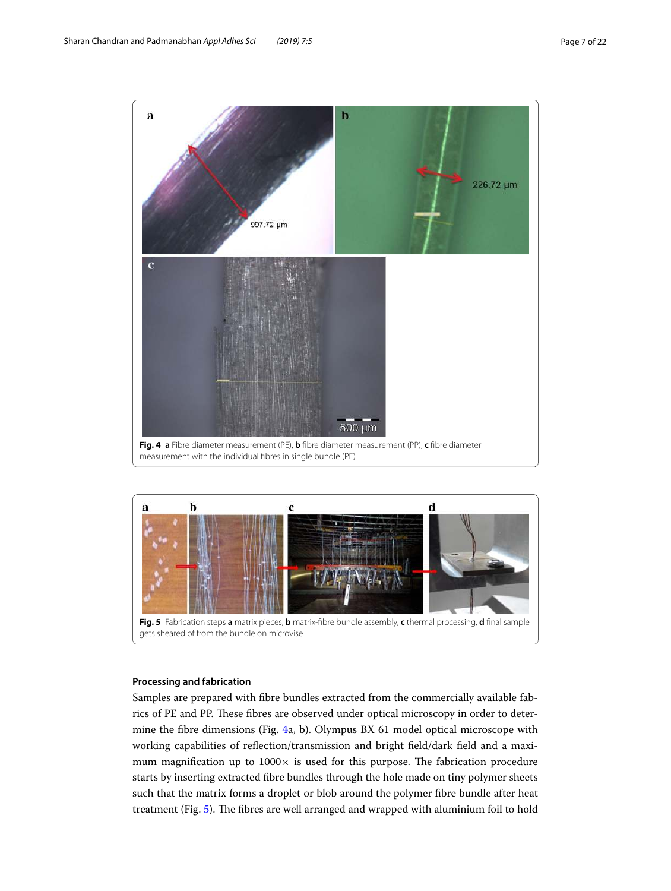

<span id="page-6-0"></span>

#### <span id="page-6-1"></span>**Processing and fabrication**

Samples are prepared with fibre bundles extracted from the commercially available fabrics of PE and PP. These fibres are observed under optical microscopy in order to determine the fibre dimensions (Fig. [4a](#page-6-0), b). Olympus BX 61 model optical microscope with working capabilities of reflection/transmission and bright field/dark field and a maximum magnification up to  $1000 \times$  is used for this purpose. The fabrication procedure starts by inserting extracted fibre bundles through the hole made on tiny polymer sheets such that the matrix forms a droplet or blob around the polymer fibre bundle after heat treatment (Fig. [5\)](#page-6-1). The fibres are well arranged and wrapped with aluminium foil to hold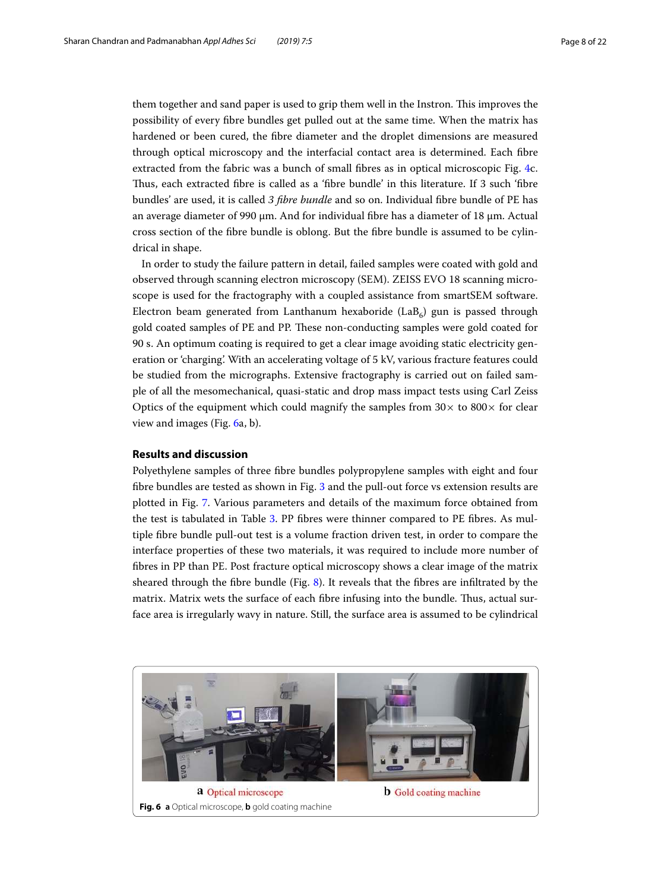them together and sand paper is used to grip them well in the Instron. This improves the possibility of every fibre bundles get pulled out at the same time. When the matrix has hardened or been cured, the fibre diameter and the droplet dimensions are measured through optical microscopy and the interfacial contact area is determined. Each fibre extracted from the fabric was a bunch of small fibres as in optical microscopic Fig. [4c](#page-6-0). Thus, each extracted fibre is called as a 'fibre bundle' in this literature. If 3 such 'fibre bundles' are used, it is called 3 fibre bundle and so on. Individual fibre bundle of PE has an average diameter of 990 μm. And for individual fibre has a diameter of 18 μm. Actual cross section of the fibre bundle is oblong. But the fibre bundle is assumed to be cylindrical in shape.

In order to study the failure pattern in detail, failed samples were coated with gold and observed through scanning electron microscopy (SEM). ZEISS EVO 18 scanning microscope is used for the fractography with a coupled assistance from smartSEM software. Electron beam generated from Lanthanum hexaboride (LaB $_6$ ) gun is passed through gold coated samples of PE and PP. These non-conducting samples were gold coated for 90 s. An optimum coating is required to get a clear image avoiding static electricity generation or 'charging'. With an accelerating voltage of 5 kV, various fracture features could be studied from the micrographs. Extensive fractography is carried out on failed sample of all the mesomechanical, quasi-static and drop mass impact tests using Carl Zeiss Optics of the equipment which could magnify the samples from  $30\times$  to  $800\times$  for clear view and images (Fig. [6](#page-7-0)a, b).

## **Results and discussion**

Polyethylene samples of three fibre bundles polypropylene samples with eight and four fibre bundles are tested as shown in Fig. [3](#page-5-2) and the pull-out force vs extension results are plotted in Fig. [7](#page-8-0). Various parameters and details of the maximum force obtained from the test is tabulated in Table [3](#page-9-0). PP fibres were thinner compared to PE fibres. As multiple fibre bundle pull-out test is a volume fraction driven test, in order to compare the interface properties of these two materials, it was required to include more number of fibres in PP than PE. Post fracture optical microscopy shows a clear image of the matrix sheared through the fibre bundle (Fig. [8](#page-9-1)). It reveals that the fibres are infiltrated by the matrix. Matrix wets the surface of each fibre infusing into the bundle. Thus, actual surface area is irregularly wavy in nature. Still, the surface area is assumed to be cylindrical

<span id="page-7-0"></span>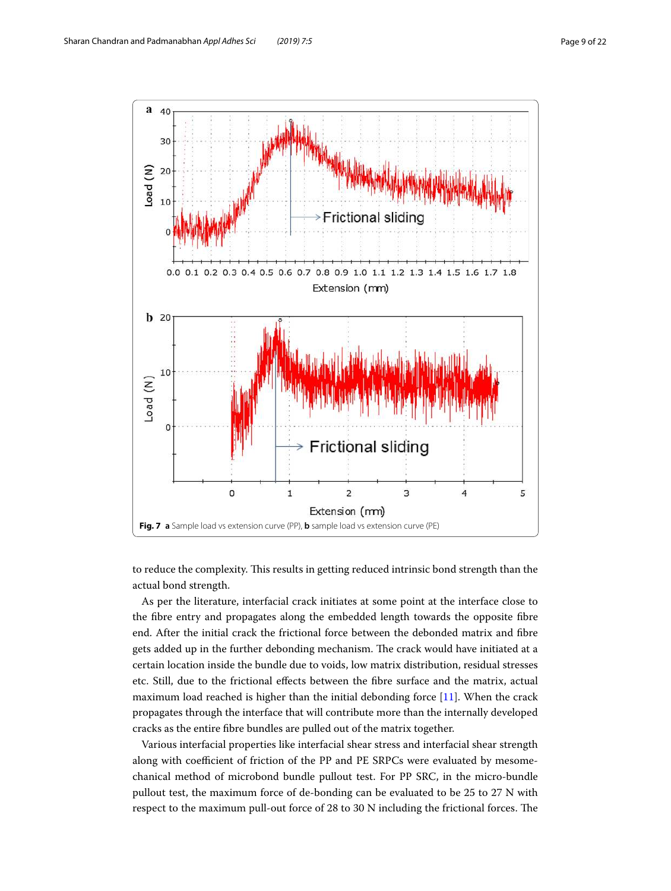

<span id="page-8-0"></span>to reduce the complexity. This results in getting reduced intrinsic bond strength than the actual bond strength.

As per the literature, interfacial crack initiates at some point at the interface close to the fibre entry and propagates along the embedded length towards the opposite fibre end. After the initial crack the frictional force between the debonded matrix and fibre gets added up in the further debonding mechanism. The crack would have initiated at a certain location inside the bundle due to voids, low matrix distribution, residual stresses etc. Still, due to the frictional effects between the fibre surface and the matrix, actual maximum load reached is higher than the initial debonding force  $[11]$  $[11]$ . When the crack propagates through the interface that will contribute more than the internally developed cracks as the entire fibre bundles are pulled out of the matrix together.

Various interfacial properties like interfacial shear stress and interfacial shear strength along with coefficient of friction of the PP and PE SRPCs were evaluated by mesomechanical method of microbond bundle pullout test. For PP SRC, in the micro-bundle pullout test, the maximum force of de-bonding can be evaluated to be 25 to 27 N with respect to the maximum pull-out force of 28 to 30 N including the frictional forces. The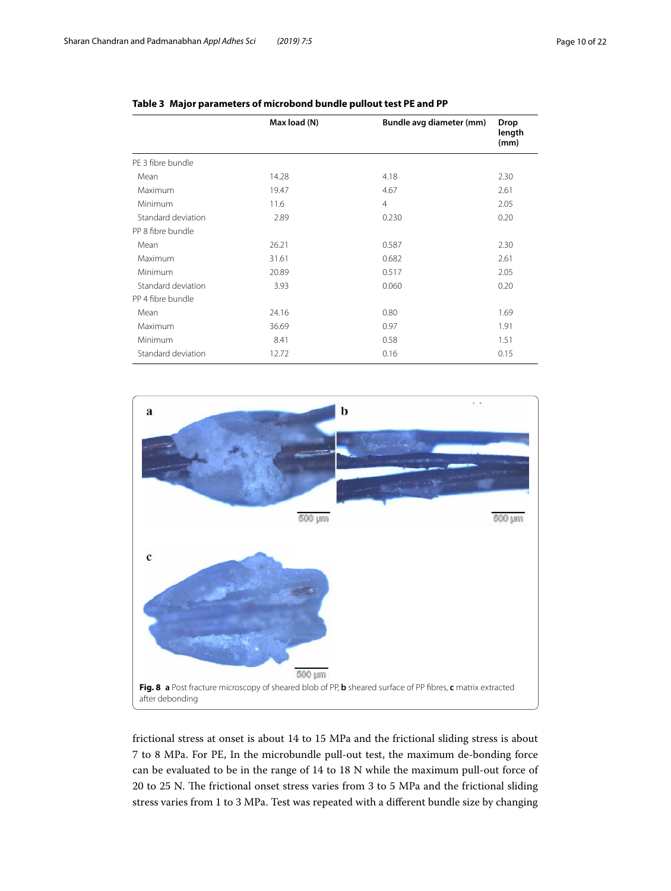|                    | Max load (N) | Bundle avg diameter (mm) | Drop<br>length<br>(mm) |
|--------------------|--------------|--------------------------|------------------------|
| PF 3 fibre bundle  |              |                          |                        |
| Mean               | 14.28        | 4.18                     | 2.30                   |
| Maximum            | 19.47        | 4.67                     | 2.61                   |
| Minimum            | 11.6         | $\overline{4}$           | 2.05                   |
| Standard deviation | 2.89         | 0.230                    | 0.20                   |
| PP 8 fibre bundle  |              |                          |                        |
| Mean               | 26.21        | 0.587                    | 2.30                   |
| Maximum            | 31.61        | 0.682                    | 2.61                   |
| Minimum            | 20.89        | 0.517                    | 2.05                   |
| Standard deviation | 3.93         | 0.060                    | 0.20                   |
| PP 4 fibre bundle  |              |                          |                        |
| Mean               | 24.16        | 0.80                     | 1.69                   |
| Maximum            | 36.69        | 0.97                     | 1.91                   |
| Minimum            | 8.41         | 0.58                     | 1.51                   |
| Standard deviation | 12.72        | 0.16                     | 0.15                   |

# <span id="page-9-0"></span>**Table 3 Major parameters of microbond bundle pullout test PE and PP**



<span id="page-9-1"></span>frictional stress at onset is about 14 to 15 MPa and the frictional sliding stress is about 7 to 8 MPa. For PE, In the microbundle pull-out test, the maximum de-bonding force can be evaluated to be in the range of 14 to 18 N while the maximum pull-out force of 20 to 25 N. The frictional onset stress varies from 3 to 5 MPa and the frictional sliding stress varies from 1 to 3 MPa. Test was repeated with a different bundle size by changing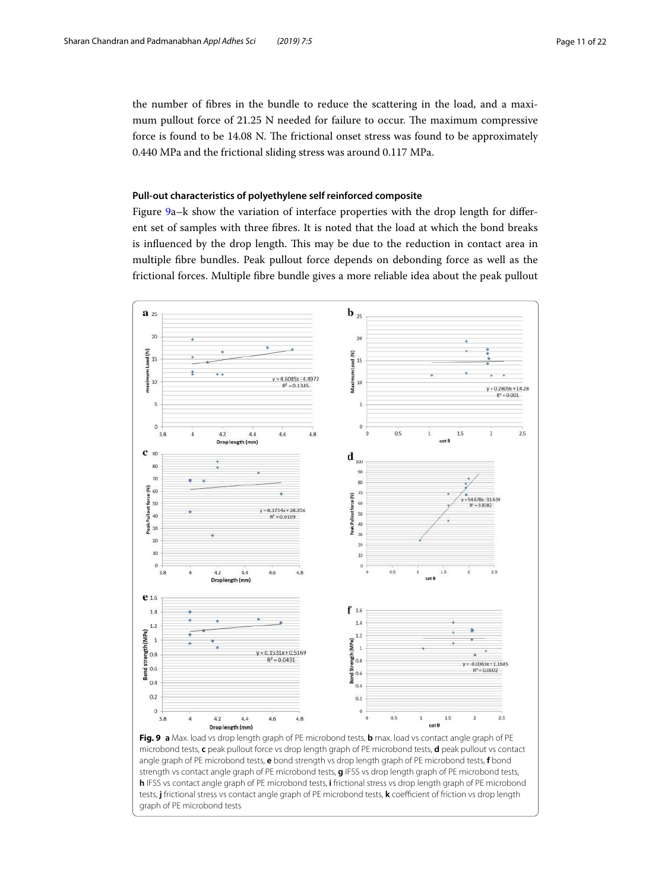the number of fibres in the bundle to reduce the scattering in the load, and a maximum pullout force of 21.25 N needed for failure to occur. The maximum compressive force is found to be 14.08 N. The frictional onset stress was found to be approximately 0.440 MPa and the frictional sliding stress was around 0.117 MPa.

## **Pull‑out characteristics of polyethylene self reinforced composite**

Figure [9a](#page-10-0)–k show the variation of interface properties with the drop length for different set of samples with three fibres. It is noted that the load at which the bond breaks is influenced by the drop length. This may be due to the reduction in contact area in multiple fibre bundles. Peak pullout force depends on debonding force as well as the frictional forces. Multiple fibre bundle gives a more reliable idea about the peak pullout

<span id="page-10-0"></span>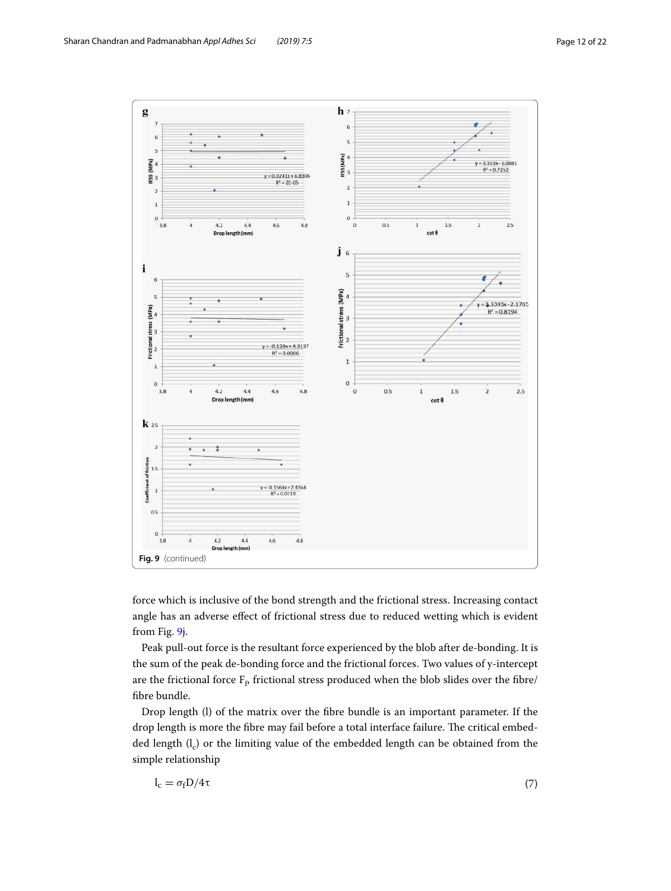

force which is inclusive of the bond strength and the frictional stress. Increasing contact angle has an adverse effect of frictional stress due to reduced wetting which is evident from Fig. [9](#page-10-0)j.

Peak pull-out force is the resultant force experienced by the blob after de-bonding. It is the sum of the peak de-bonding force and the frictional forces. Two values of y-intercept are the frictional force  $\mathrm{F}_\mathrm{f}$  frictional stress produced when the blob slides over the fibre/ fibre bundle.

Drop length (l) of the matrix over the fibre bundle is an important parameter. If the drop length is more the fibre may fail before a total interface failure. The critical embedded length  $\rm(l_c)$  or the limiting value of the embedded length can be obtained from the simple relationship

$$
l_c = \sigma_f D/4\tau \tag{7}
$$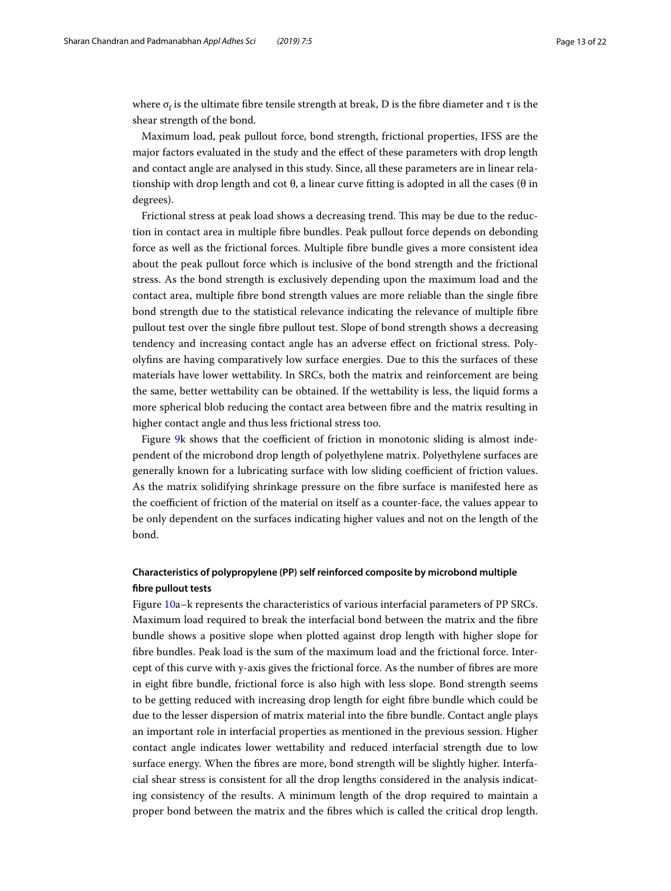where  $\sigma_{\rm f}$  is the ultimate fibre tensile strength at break, D is the fibre diameter and  $\tau$  is the shear strength of the bond.

Maximum load, peak pullout force, bond strength, frictional properties, IFSS are the major factors evaluated in the study and the effect of these parameters with drop length and contact angle are analysed in this study. Since, all these parameters are in linear relationship with drop length and cot  $\theta$ , a linear curve fitting is adopted in all the cases ( $\theta$  in degrees).

Frictional stress at peak load shows a decreasing trend. This may be due to the reduction in contact area in multiple fibre bundles. Peak pullout force depends on debonding force as well as the frictional forces. Multiple fibre bundle gives a more consistent idea about the peak pullout force which is inclusive of the bond strength and the frictional stress. As the bond strength is exclusively depending upon the maximum load and the contact area, multiple fibre bond strength values are more reliable than the single fibre bond strength due to the statistical relevance indicating the relevance of multiple fibre pullout test over the single fibre pullout test. Slope of bond strength shows a decreasing tendency and increasing contact angle has an adverse effect on frictional stress. Polyolyfins are having comparatively low surface energies. Due to this the surfaces of these materials have lower wettability. In SRCs, both the matrix and reinforcement are being the same, better wettability can be obtained. If the wettability is less, the liquid forms a more spherical blob reducing the contact area between fibre and the matrix resulting in higher contact angle and thus less frictional stress too.

Figure [9k](#page-10-0) shows that the coefficient of friction in monotonic sliding is almost independent of the microbond drop length of polyethylene matrix. Polyethylene surfaces are generally known for a lubricating surface with low sliding coefficient of friction values. As the matrix solidifying shrinkage pressure on the fibre surface is manifested here as the coefficient of friction of the material on itself as a counter-face, the values appear to be only dependent on the surfaces indicating higher values and not on the length of the bond.

# **Characteristics of polypropylene (PP) self reinforced composite by microbond multiple fibre pullout tests**

Figure [10a](#page-13-0)–k represents the characteristics of various interfacial parameters of PP SRCs. Maximum load required to break the interfacial bond between the matrix and the fibre bundle shows a positive slope when plotted against drop length with higher slope for fibre bundles. Peak load is the sum of the maximum load and the frictional force. Intercept of this curve with y-axis gives the frictional force. As the number of fibres are more in eight fibre bundle, frictional force is also high with less slope. Bond strength seems to be getting reduced with increasing drop length for eight fibre bundle which could be due to the lesser dispersion of matrix material into the fibre bundle. Contact angle plays an important role in interfacial properties as mentioned in the previous session. Higher contact angle indicates lower wettability and reduced interfacial strength due to low surface energy. When the fibres are more, bond strength will be slightly higher. Interfacial shear stress is consistent for all the drop lengths considered in the analysis indicating consistency of the results. A minimum length of the drop required to maintain a proper bond between the matrix and the fibres which is called the critical drop length.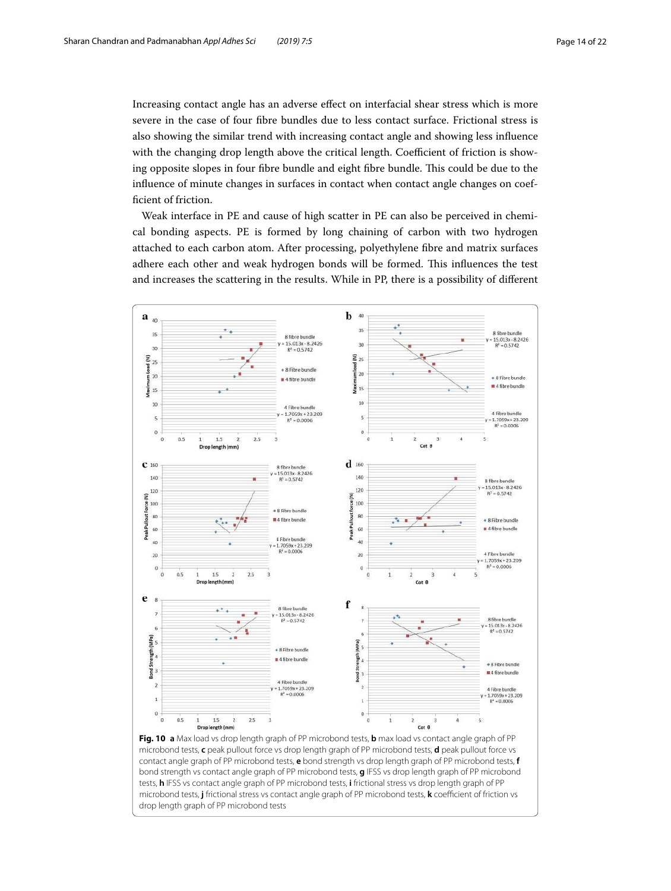Increasing contact angle has an adverse effect on interfacial shear stress which is more severe in the case of four fibre bundles due to less contact surface. Frictional stress is also showing the similar trend with increasing contact angle and showing less influence with the changing drop length above the critical length. Coefficient of friction is showing opposite slopes in four fibre bundle and eight fibre bundle. This could be due to the influence of minute changes in surfaces in contact when contact angle changes on coefficient of friction.

Weak interface in PE and cause of high scatter in PE can also be perceived in chemical bonding aspects. PE is formed by long chaining of carbon with two hydrogen attached to each carbon atom. After processing, polyethylene fibre and matrix surfaces adhere each other and weak hydrogen bonds will be formed. This influences the test and increases the scattering in the results. While in PP, there is a possibility of different



<span id="page-13-0"></span>**Fig. 10 a** Max load vs drop length graph of PP microbond tests, **b** max load vs contact angle graph of PP microbond tests, **c** peak pullout force vs drop length graph of PP microbond tests, **d** peak pullout force vs contact angle graph of PP microbond tests, **e** bond strength vs drop length graph of PP microbond tests, **f** bond strength vs contact angle graph of PP microbond tests, **g** IFSS vs drop length graph of PP microbond tests, **h** IFSS vs contact angle graph of PP microbond tests, **i** frictional stress vs drop length graph of PP microbond tests, **j** frictional stress vs contact angle graph of PP microbond tests, **k** coefficient of friction vs drop length graph of PP microbond tests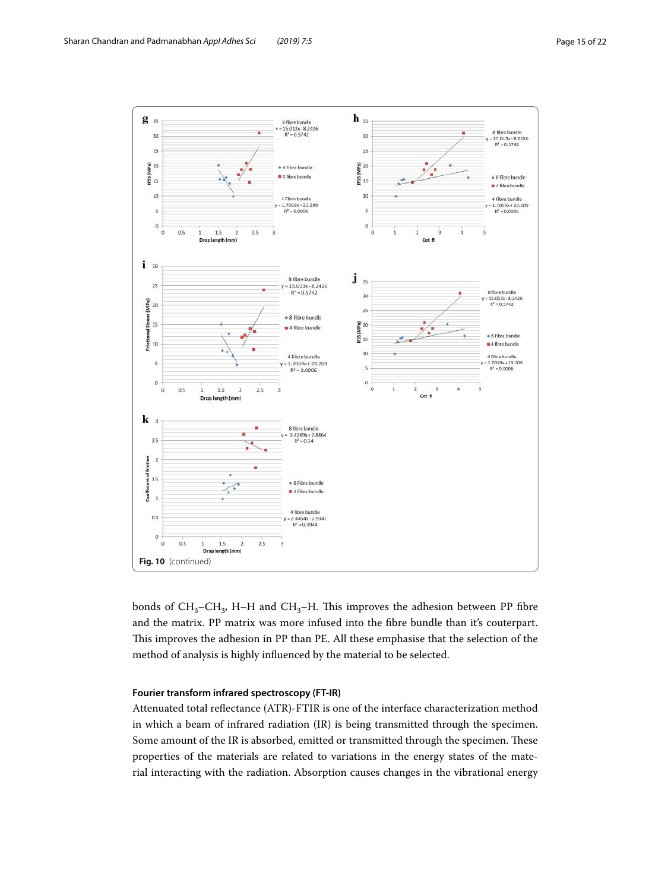

bonds of  $CH_3-CH_3$ , H–H and  $CH_3$ –H. This improves the adhesion between PP fibre and the matrix. PP matrix was more infused into the fibre bundle than it's couterpart. This improves the adhesion in PP than PE. All these emphasise that the selection of the method of analysis is highly influenced by the material to be selected.

## **Fourier transform infrared spectroscopy (FT‑IR)**

Attenuated total reflectance (ATR)-FTIR is one of the interface characterization method in which a beam of infrared radiation (IR) is being transmitted through the specimen. Some amount of the IR is absorbed, emitted or transmitted through the specimen. These properties of the materials are related to variations in the energy states of the material interacting with the radiation. Absorption causes changes in the vibrational energy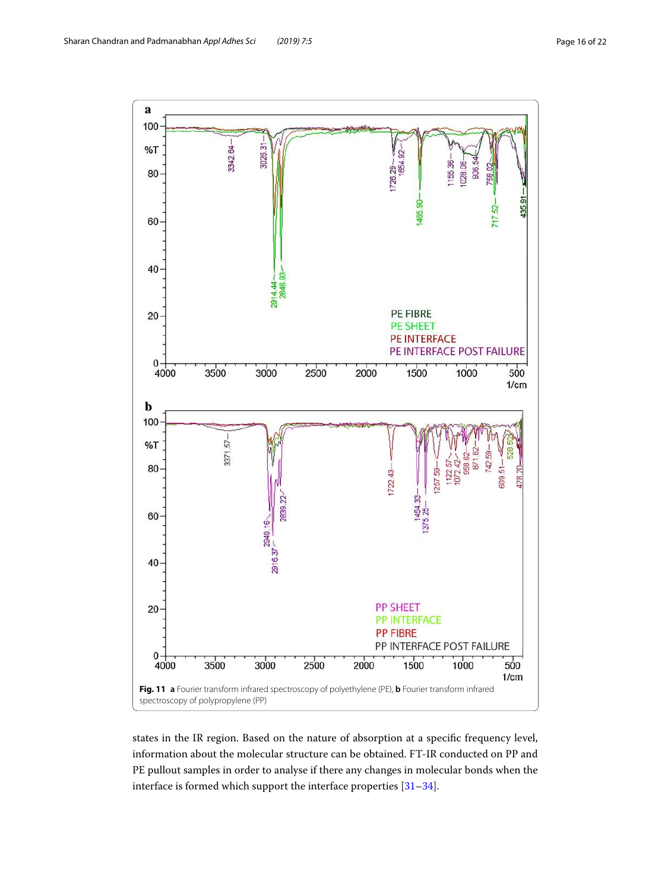

<span id="page-15-0"></span>states in the IR region. Based on the nature of absorption at a specific frequency level, information about the molecular structure can be obtained. FT-IR conducted on PP and PE pullout samples in order to analyse if there any changes in molecular bonds when the interface is formed which support the interface properties [\[31–](#page-21-25)[34\]](#page-21-26).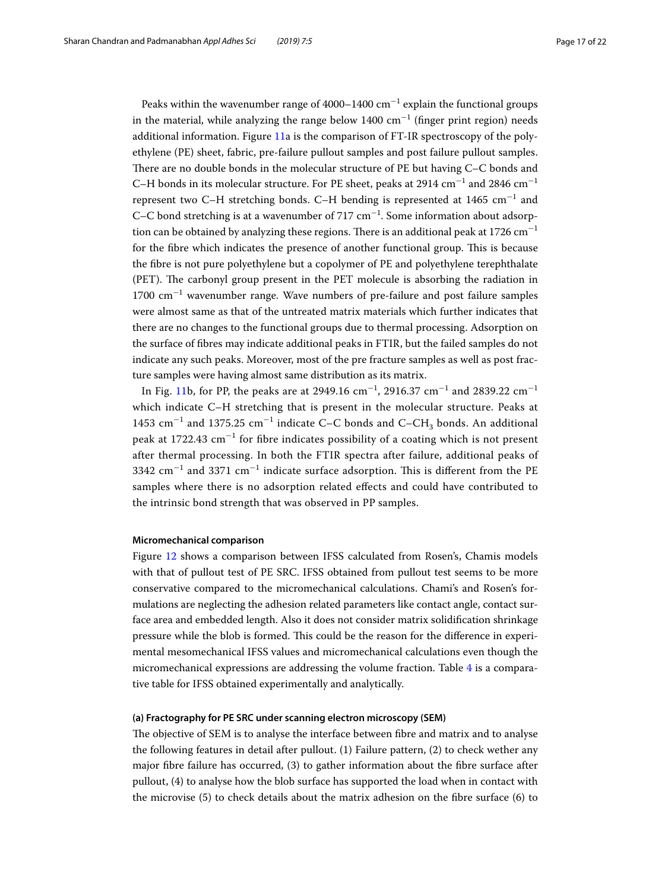Peaks within the wavenumber range of 4000–1400  $\rm cm^{-1}$  explain the functional groups in the material, while analyzing the range below  $1400 \text{ cm}^{-1}$  (finger print region) needs additional information. Figure [11a](#page-15-0) is the comparison of FT-IR spectroscopy of the polyethylene (PE) sheet, fabric, pre-failure pullout samples and post failure pullout samples. There are no double bonds in the molecular structure of PE but having C–C bonds and C–H bonds in its molecular structure. For PE sheet, peaks at 2914  $\rm cm^{-1}$  and 2846  $\rm cm^{-1}$ represent two C–H stretching bonds. C–H bending is represented at 1465  $\mathrm{cm}^{-1}$  and C–C bond stretching is at a wavenumber of 717  $cm^{-1}$ . Some information about adsorption can be obtained by analyzing these regions. There is an additional peak at 1726 cm<sup>-1</sup> for the fibre which indicates the presence of another functional group. This is because the fibre is not pure polyethylene but a copolymer of PE and polyethylene terephthalate (PET). The carbonyl group present in the PET molecule is absorbing the radiation in 1700 cm<sup>−</sup><sup>1</sup> wavenumber range. Wave numbers of pre-failure and post failure samples were almost same as that of the untreated matrix materials which further indicates that there are no changes to the functional groups due to thermal processing. Adsorption on the surface of fibres may indicate additional peaks in FTIR, but the failed samples do not indicate any such peaks. Moreover, most of the pre fracture samples as well as post fracture samples were having almost same distribution as its matrix.

In Fig. [11](#page-15-0)b, for PP, the peaks are at 2949.16  $\text{cm}^{-1}$ , 2916.37  $\text{cm}^{-1}$  and 2839.22  $\text{cm}^{-1}$ which indicate C–H stretching that is present in the molecular structure. Peaks at 1453  $\rm cm^{-1}$  and 1375.25  $\rm cm^{-1}$  indicate C–C bonds and C–CH<sub>3</sub> bonds. An additional peak at 1722.43 cm<sup>-1</sup> for fibre indicates possibility of a coating which is not present after thermal processing. In both the FTIR spectra after failure, additional peaks of 3342  $\rm cm^{-1}$  and 3371  $\rm cm^{-1}$  indicate surface adsorption. This is different from the PE samples where there is no adsorption related effects and could have contributed to the intrinsic bond strength that was observed in PP samples.

## **Micromechanical comparison**

Figure [12](#page-17-0) shows a comparison between IFSS calculated from Rosen's, Chamis models with that of pullout test of PE SRC. IFSS obtained from pullout test seems to be more conservative compared to the micromechanical calculations. Chami's and Rosen's formulations are neglecting the adhesion related parameters like contact angle, contact surface area and embedded length. Also it does not consider matrix solidification shrinkage pressure while the blob is formed. This could be the reason for the difference in experimental mesomechanical IFSS values and micromechanical calculations even though the micromechanical expressions are addressing the volume fraction. Table [4](#page-17-1) is a comparative table for IFSS obtained experimentally and analytically.

#### **(a) Fractography for PE SRC under scanning electron microscopy (SEM)**

The objective of SEM is to analyse the interface between fibre and matrix and to analyse the following features in detail after pullout. (1) Failure pattern, (2) to check wether any major fibre failure has occurred, (3) to gather information about the fibre surface after pullout, (4) to analyse how the blob surface has supported the load when in contact with the microvise (5) to check details about the matrix adhesion on the fibre surface (6) to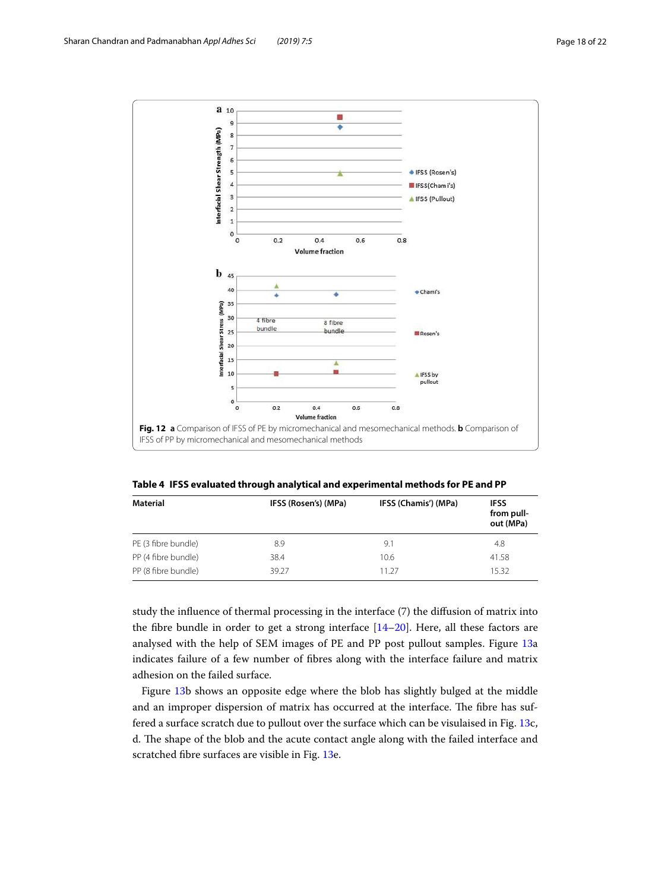

<span id="page-17-1"></span><span id="page-17-0"></span>**Table 4 IFSS evaluated through analytical and experimental methods for PE and PP**

| Material            | IFSS (Rosen's) (MPa) | IFSS (Chamis') (MPa) | <b>IFSS</b><br>from pull-<br>out (MPa) |
|---------------------|----------------------|----------------------|----------------------------------------|
| PE (3 fibre bundle) | 8.9                  | 9.1                  | 4.8                                    |
| PP (4 fibre bundle) | 38.4                 | 10.6                 | 41.58                                  |
| PP (8 fibre bundle) | 39.27                | 11.27                | 15.32                                  |

study the influence of thermal processing in the interface (7) the diffusion of matrix into the fibre bundle in order to get a strong interface [[14](#page-21-10)[–20](#page-21-16)]. Here, all these factors are analysed with the help of SEM images of PE and PP post pullout samples. Figure [13](#page-18-0)a indicates failure of a few number of fibres along with the interface failure and matrix adhesion on the failed surface.

Figure [13b](#page-18-0) shows an opposite edge where the blob has slightly bulged at the middle and an improper dispersion of matrix has occurred at the interface. The fibre has suffered a surface scratch due to pullout over the surface which can be visulaised in Fig. [13c](#page-18-0), d. The shape of the blob and the acute contact angle along with the failed interface and scratched fibre surfaces are visible in Fig. [13](#page-18-0)e.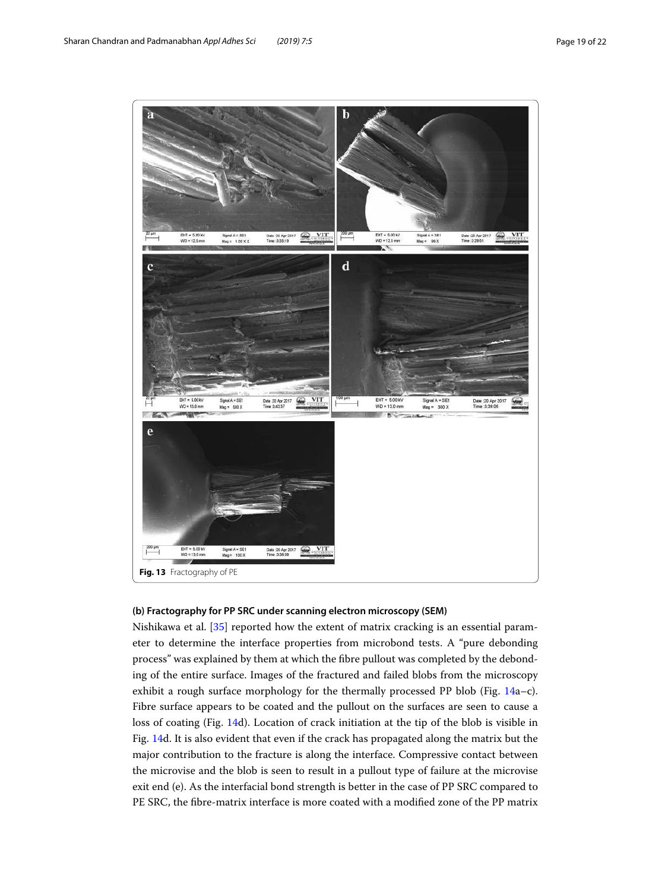

## <span id="page-18-0"></span>**(b) Fractography for PP SRC under scanning electron microscopy (SEM)**

Nishikawa et al. [\[35](#page-21-27)] reported how the extent of matrix cracking is an essential parameter to determine the interface properties from microbond tests. A "pure debonding process" was explained by them at which the fibre pullout was completed by the debonding of the entire surface. Images of the fractured and failed blobs from the microscopy exhibit a rough surface morphology for the thermally processed PP blob (Fig.  $14a-c$  $14a-c$ ). Fibre surface appears to be coated and the pullout on the surfaces are seen to cause a loss of coating (Fig. [14](#page-19-0)d). Location of crack initiation at the tip of the blob is visible in Fig. [14d](#page-19-0). It is also evident that even if the crack has propagated along the matrix but the major contribution to the fracture is along the interface. Compressive contact between the microvise and the blob is seen to result in a pullout type of failure at the microvise exit end (e). As the interfacial bond strength is better in the case of PP SRC compared to PE SRC, the fibre-matrix interface is more coated with a modified zone of the PP matrix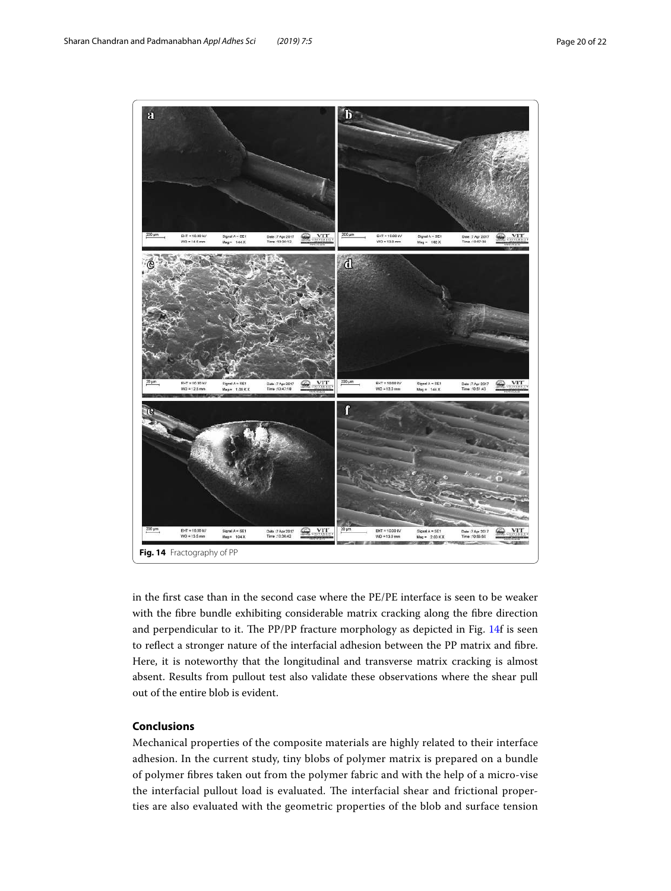

<span id="page-19-0"></span>in the first case than in the second case where the PE/PE interface is seen to be weaker with the fibre bundle exhibiting considerable matrix cracking along the fibre direction and perpendicular to it. The PP/PP fracture morphology as depicted in Fig. [14f](#page-19-0) is seen to reflect a stronger nature of the interfacial adhesion between the PP matrix and fibre. Here, it is noteworthy that the longitudinal and transverse matrix cracking is almost absent. Results from pullout test also validate these observations where the shear pull out of the entire blob is evident.

# **Conclusions**

Mechanical properties of the composite materials are highly related to their interface adhesion. In the current study, tiny blobs of polymer matrix is prepared on a bundle of polymer fibres taken out from the polymer fabric and with the help of a micro-vise the interfacial pullout load is evaluated. The interfacial shear and frictional properties are also evaluated with the geometric properties of the blob and surface tension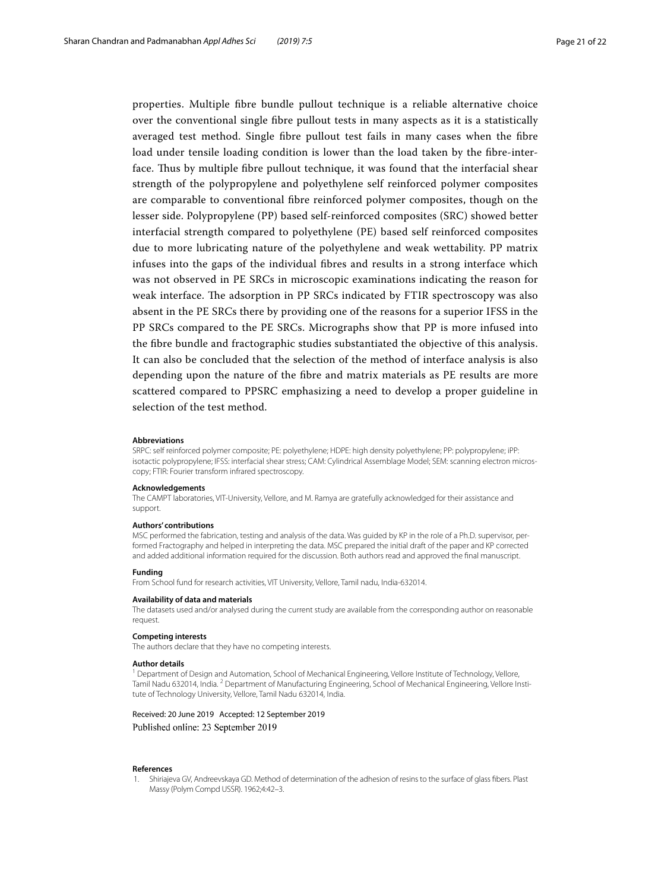properties. Multiple fibre bundle pullout technique is a reliable alternative choice over the conventional single fibre pullout tests in many aspects as it is a statistically averaged test method. Single fibre pullout test fails in many cases when the fibre load under tensile loading condition is lower than the load taken by the fibre-interface. Thus by multiple fibre pullout technique, it was found that the interfacial shear strength of the polypropylene and polyethylene self reinforced polymer composites are comparable to conventional fibre reinforced polymer composites, though on the lesser side. Polypropylene (PP) based self-reinforced composites (SRC) showed better interfacial strength compared to polyethylene (PE) based self reinforced composites due to more lubricating nature of the polyethylene and weak wettability. PP matrix infuses into the gaps of the individual fibres and results in a strong interface which was not observed in PE SRCs in microscopic examinations indicating the reason for weak interface. The adsorption in PP SRCs indicated by FTIR spectroscopy was also absent in the PE SRCs there by providing one of the reasons for a superior IFSS in the PP SRCs compared to the PE SRCs. Micrographs show that PP is more infused into the fibre bundle and fractographic studies substantiated the objective of this analysis. It can also be concluded that the selection of the method of interface analysis is also depending upon the nature of the fibre and matrix materials as PE results are more scattered compared to PPSRC emphasizing a need to develop a proper guideline in selection of the test method.

#### **Abbreviations**

SRPC: self reinforced polymer composite; PE: polyethylene; HDPE: high density polyethylene; PP: polypropylene; iPP: isotactic polypropylene; IFSS: interfacial shear stress; CAM: Cylindrical Assemblage Model; SEM: scanning electron microscopy; FTIR: Fourier transform infrared spectroscopy.

#### **Acknowledgements**

The CAMPT laboratories, VIT-University, Vellore, and M. Ramya are gratefully acknowledged for their assistance and support.

#### **Authors' contributions**

MSC performed the fabrication, testing and analysis of the data. Was guided by KP in the role of a Ph.D. supervisor, performed Fractography and helped in interpreting the data. MSC prepared the initial draft of the paper and KP corrected and added additional information required for the discussion. Both authors read and approved the final manuscript.

#### **Funding**

From School fund for research activities, VIT University, Vellore, Tamil nadu, India-632014.

#### **Availability of data and materials**

The datasets used and/or analysed during the current study are available from the corresponding author on reasonable request.

#### **Competing interests**

The authors declare that they have no competing interests.

#### **Author details**

<sup>1</sup> Department of Design and Automation, School of Mechanical Engineering, Vellore Institute of Technology, Vellore, Tamil Nadu 632014, India. <sup>2</sup> Department of Manufacturing Engineering, School of Mechanical Engineering, Vellore Institute of Technology University, Vellore, Tamil Nadu 632014, India.

## Received: 20 June 2019 Accepted: 12 September 2019

Published online: 23 September 2019

#### **References**

<span id="page-20-0"></span> 1. Shiriajeva GV, Andreevskaya GD. Method of determination of the adhesion of resins to the surface of glass fibers. Plast Massy (Polym Compd USSR). 1962;4:42–3.